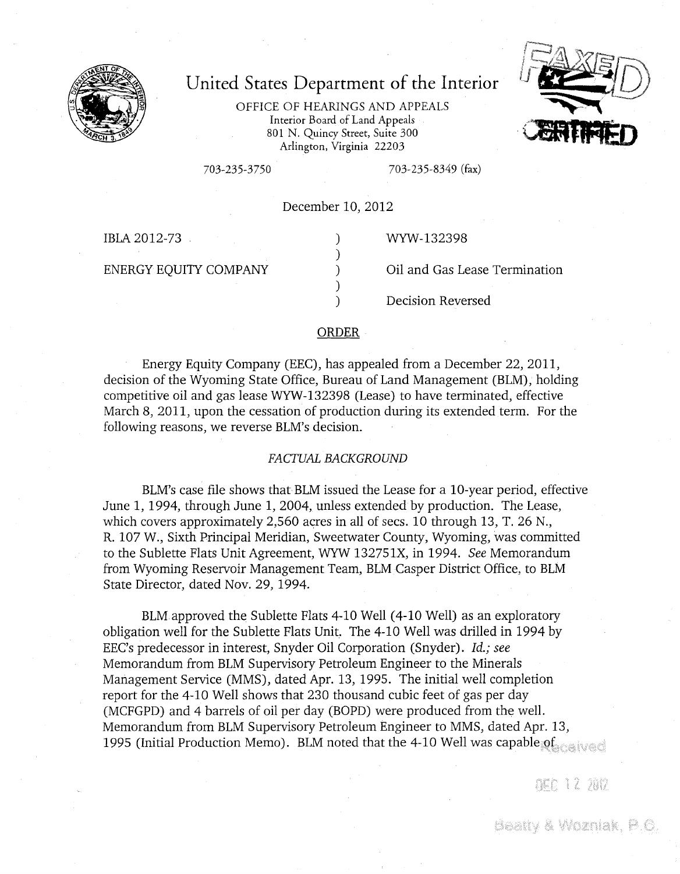

# United States Department of the Interior

OFFICE OF HEARINGS AND APPEALS Interior Board of Land Appeals 801 N. Quincy Street, Suite 300 Arlington, Virginia 22203



703-235-3750 703-235-8349 (fax)

December 10, 2012

) ) ) ) )

IBLA 2012-73

ENERGY EQUITY COMPANY

WYW-132398

Oil and Gas Lease Termination

Decision Reversed

## ORDER

Energy Equity Company (EEC), has appealed from a December 22, 2011, decision of the Wyoming State Office, Bureau of Land Management (BLM), holding competitive oil and gas lease WYW-132398 (Lease) to have terminated, effective March 8, 2011, upon the cessation of production during its extended term. For the following reasons, we reverse BLM's decision.

### FACTUAL BACKGROUND

BLM's case file shows that BLM issued the Lease for a 10-year period, effective June 1, 1994, through June 1, 2004, unless extended by production. The Lease, which covers approximately 2,560 acres in all of secs. 10 through 13, T. 26 N., R. 107 W., Sixth Principal Meridian, Sweetwater County, Wyoming, was committed to the Sublette Flats Unit Agreement, WYW 132751X, in 1994. *See* Memorandum from Wyoming Reservoir Management Team, BLM. Casper District Office, to BLM State Director, dated Nov. 29, 1994.

BLM approved the Sublette Flats 4-10 Well (4-10 Well) as an exploratory obligation well for the Sublette Flats Unit. The 4-10 Well was drilled in 1994 by EEC's predecessor in interest, Snyder Oil Corporation (Snyder). *Id.; see* Memorandum from BLM Supervisory Petroleum Engineer to the Minerals Management Service (MMS), dated Apr. 13, 1995. The initial well completion report for the 4-10 Well shows that 230 thousand cubic feet of gas per day (MCFGPD) and 4 barrels of oil per day (BOPD) were produced from the well. Memorandum from BLM Supervisory Petroleum Engineer to MMS, dated Apr. 13, 1995 (Initial Production Memo). BLM noted that the 4-10 Well was capable of realized

ANG 12 202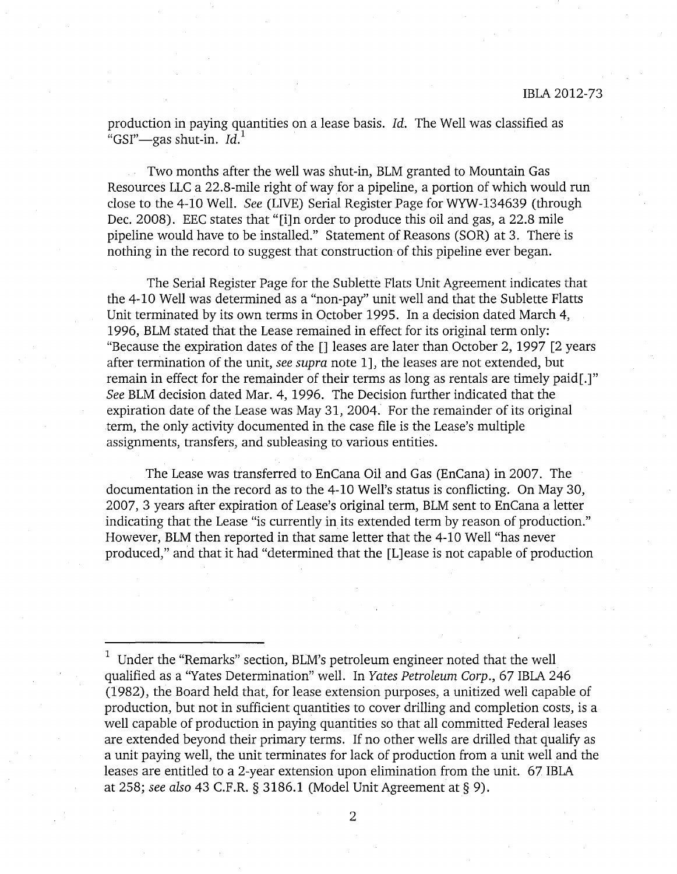production in paying quantities on a lease basis. *Id.* The Well was classified as " $GSI$ "-gas shut-in. *Id.*<sup>1</sup>

Two months after the well was shut-in, BLM granted to Mountain Gas Resources LLC a 22.8-mile right of way for a pipeline, a portion of which would run close to the 4-10 Well. *See* (LIVE) Serial Register Page for WYW-134639 (through Dec. 2008). EEC states that "[i]n order to produce this oil and gas, a 22.8 mile pipeline would have to be installed." Statement of Reasons (SOR) at 3. There is nothing in the record to suggest that construction of this pipeline ever began.

The Serial Register Page for the Sublette Flats Unit Agreement indicates that the 4-10 Well was determined as a "non-pay" unit well and that the Sublette Platts Unit terminated by its own terms in October 1995. In a decision dated March 4, 1996, BLM stated that the Lease remained in effect for its original term only: "Because the expiration dates of the  $\Box$  leases are later than October 2, 1997  $\Box$  years after termination of the unit, *see supra* note 1], the leases are not extended, but remain in effect for the remainder of their terms as long as rentals are timely paid[.]" *See* BLM decision dated Mar. 4, 1996. The Decision further indicated that the expiration date of the Lease was May 31, 2004. For the remainder of its original term, the only activity documented in the case file is the Lease's multiple assignments, transfers, and subleasing to various entities.

The Lease was transferred to EnCana Oil and Gas (EnCana) in 2007. The documentation in the record as to the 4-10 Well's status is conflicting. On May 30, 2007, 3 years after expiration of Lease's original term, BLM sent to EnCana a letter indicating that the Lease "is currently in its extended term by reason of production." However, BLM then reported in that same letter that the 4-10 Well "has never produced," and that it had "determined that the [L]ease is not capable of production

<sup>1</sup> Under the "Remarks" section, BLM's petroleum engineer noted that the well qualified as a "Yates Determination" well. In *Yates Petroleum Corp.,* 67 IBLA 246 (1982), the Board held that, for lease extension purposes, a unitized well capable of production, but not in sufficient quantities to cover drilling and completion costs, is a well capable of production in paying quantities so that all committed Federal leases are extended beyond their primary terms. If no other wells are drilled that qualify as a unit paying well, the unit terminates for lack of production from a unit well and the leases are entitled to a 2-year extension upon elimination from the unit. 67 IBLA at 258; *see also* 43 C.P.R.§ 3186.1 (Model Unit Agreement at§ 9).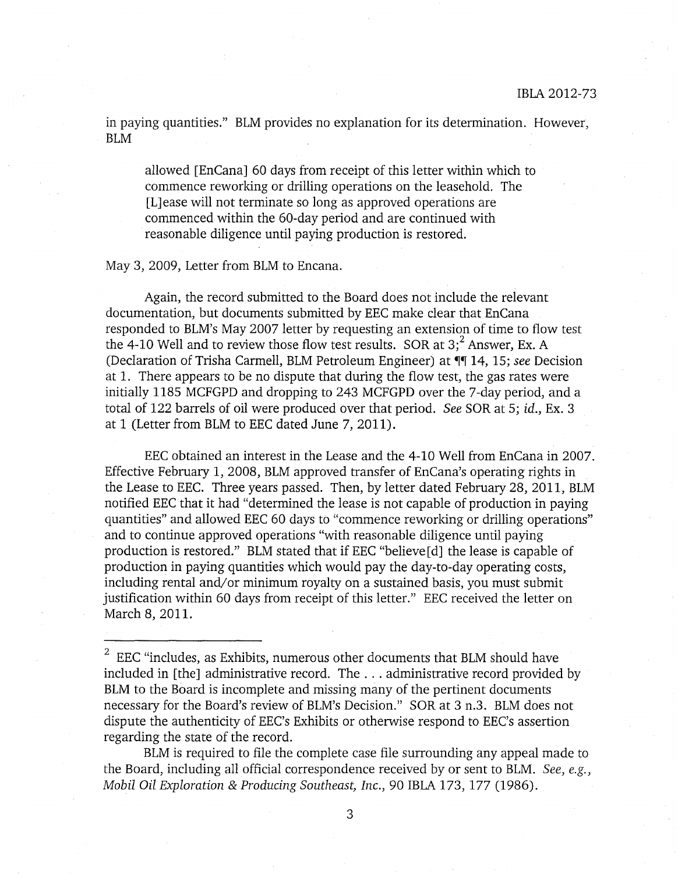in paying quantities." BLM provides no explanation for its determination. However, BLM

allowed [EnCana] 60 days from receipt of this letter within which to commence reworking or drilling operations on the leasehold. The [L]ease will not terminate so long as approved operations are commenced within the 60-day period and are continued with reasonable diligence until paying production is restored.

### May 3, 2009, Letter from BLM to Encana.

Again, the record submitted to the Board does not include the relevant documentation, but documents submitted by EEC make clear that EnCana responded to ELM's May 2007 letter by requesting an extension of time to flow test the 4-10 Well and to review those flow test results. SOR at  $3:$  Answer, Ex. A (Declaration of Trisha Carmell, BLM Petroleum Engineer) at **'l'l14,** 15; *see* Decision at 1. There appears to be no dispute that during the flow test, the gas rates were initially 1185 MCFGPD and dropping to 243 MCFGPD over the 7-day period, and a total of 122 barrels of oil were produced over that period. *See* SOR at 5; *id.,* Ex. 3 at 1 (Letter from BLM to EEC dated June 7, 2011).

EEC obtained an interest in the Lease and the 4-10 Well from EnCana in 2007. Effective February 1, 2008, BLM approved transfer of EnCana's operating rights in the Lease to EEC. Three years passed. Then, by letter dated February 28, 2011, BLM notified EEC that it had "determined the lease is not capable of production in paying quantities" and allowed EEC 60 days to "commence reworking or drilling operations" and to continue approved operations "with reasonable diligence until paying production is restored." BLM stated that if EEC "believe [ d] the lease is capable of production in paying quantities which would pay the day-to-day operating costs, including rental and/or minimum royalty on a sustained basis, you must submit justification within 60 days from receipt of this letter." EEC received the letter on March 8, 2011.

 $2$  EEC "includes, as Exhibits, numerous other documents that BLM should have included in [the] administrative record. The ... administrative record provided by BLM to the Board is incomplete and missing many of the pertinent documents necessary for the Board's review of ELM's Decision." SOR at 3 n.3. BLM does not dispute the authenticity of EEC's Exhibits or otherwise respond to EEC's assertion regarding the state of the record.

BLM is required to file the complete case file surrounding any appeal made to the Board, including all official correspondence received by or sent to BLM. *See, e.g., Mobil Oil Exploration* & *Producing Southeast, Inc.,* 90 IBLA 173, 177 (1986).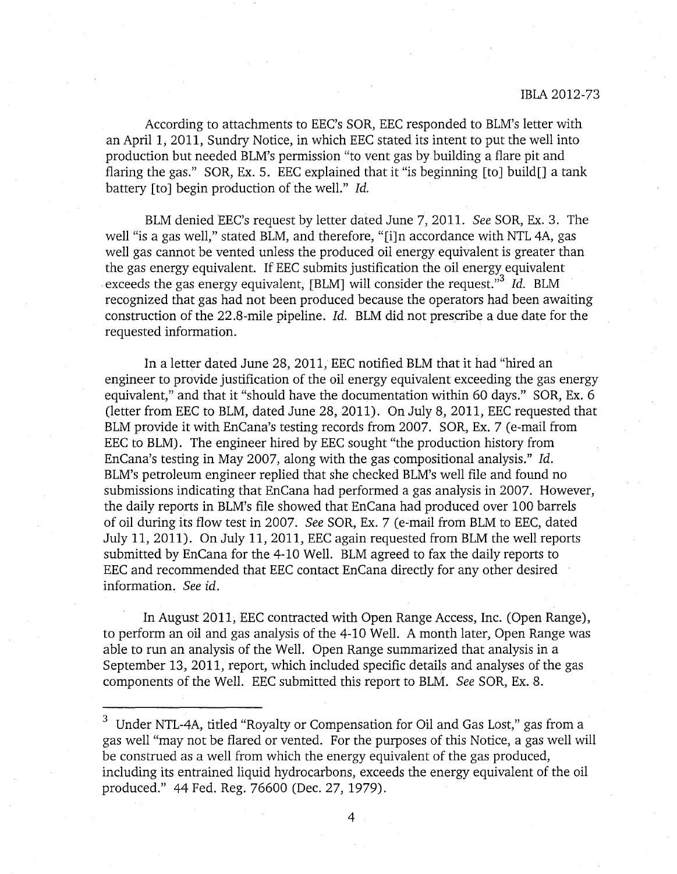According to attachments to EEC's SOR, EEC responded to BLM's letter with an April 1, 2011, Sundry Notice, in which EEC stated its intent to put the well into production but needed BLM's permission "to vent gas by building a flare pit and flaring the gas." SOR, Ex. 5. EEC explained that it "is beginning  $[t0]$  build $[]$  a tank battery [to] begin production of the well." *Id.* 

BLM denied EEC's request by letter dated June 7, 2011. *See* SOR, Ex. 3. The well "is a gas well," stated BLM, and therefore, "[i]n accordance with NTL 4A, gas well gas cannot be vented unless the produced oil energy equivalent is greater than the gas energy equivalent. If EEC submits justification the oil energy equivalent . exceeds the gas energy equivalent, [BLM] will consider the request."3 *Id.* BLM recognized that gas had not been produced because the operators had been awaiting construction of the 22.8-mile pipeline. *Id.* BLM did not prescribe a due date for the requested information.

In a letter dated June 28, 2011, EEC notified BLM that it had "hired an engineer to provide justification of the oil energy equivalent exceeding the gas energy equivalent," and that it "should have the documentation within 60 days." SOR, Ex. 6 (letter from EEC to BLM, dated June 28, 2011). On July 8, 2011, EEC requested that BLM provide it with EnCana's testing records from 2007. SOR, Ex. 7 (e-mail from EEC to BLM). The engineer hired by EEC sought "the production history from EnCana's testing in May 2007, along with the gas compositional analysis." *Id.*  BLM's petroleum engineer replied that she checked BLM's well file and found no submissions indicating that EnCana had performed a gas analysis in 2007. However, the daily reports in BLM's file showed that EnCana had produced over 100 barrels of oil during its flow test in 2007. *See* SOR, Ex. 7 (e-mail from BLM to EEC, dated July 11, 2011). On July 11,2011, EEC again requested from BLM the well reports submitted by EnCana for the 4-10 Well. BLM agreed to fax the daily reports to EEC and recommended that EEC contact EnCana directly for any other desired information. *See id.* 

In August 2011, EEC contracted with Open Range Access, Inc. (Open Range), to perform an oil and gas analysis of the 4~10 Well. A month later, Open Range was able to run an analysis of the Well. Open Range summarized that analysis in a September 13, 2011, report, which included specific details and analyses of the gas components of the Well. EEC submitted this report to BLM. *See* SOR, Ex. 8.

 $3$  Under NTL-4A, titled "Royalty or Compensation for Oil and Gas Lost," gas from a gas well "may not be flared or vented. For the purposes of this Notice, a gas well will be construed as a well from which the energy equivalent of the gas produced, including its entrained liquid hydrocarbons, exceeds the energy equivalent of the oil produced." 44 Fed. Reg. 76600 (Dec. 27, 1979).

4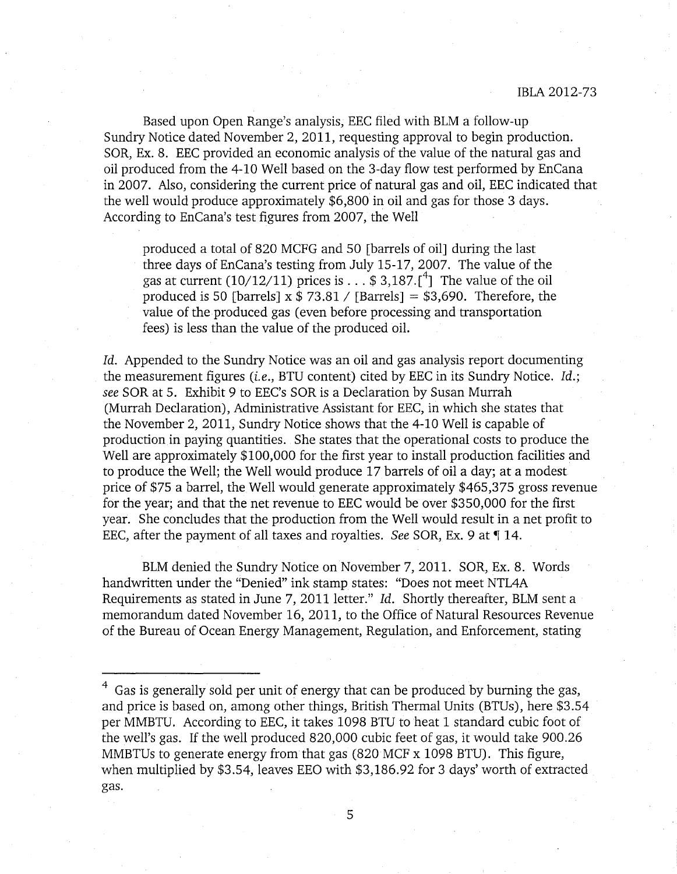Based upon Open Range's analysis, EEC filed with BLM a follow-up Sundry Notice dated November 2, 2011, requesting approval to begin production. SOR, Ex. 8. EEC provided an economic analysis of the value of the natural gas and oil produced from the 4-10 Well based on the 3-day flow test performed by EnCana in 2007. Also, considering the current price of natural gas and oil, EEC indicated that the well would produce approximately \$6,800 in oil and gas for those 3 days. According to EnCana's test figures from 2007, the Well

produced a total of 820 MCFG and SO [barrels of oil] during the last three days of EnCana's testing from July 1S-17, 2007. The value of the gas at current (10/12/11) prices is  $\dots$  \$ 3,187.<sup>[4</sup>] The value of the oil produced is 50 [barrels] x  $$ 73.81 / [Barrels] = $3,690$ . Therefore, the value of the produced gas (even before processing and transportation fees) is less than the value of the produced oil.

*Id.* Appended to the Sundry Notice was an oil and gas analysis report documenting the measurement figures *(i.e.,* BTU content) cited by EEC in its Sundry Notice. *Id.; see* SOR at S. Exhibit 9 to EEC's SOR is a Declaration by Susan Murrah (Murrah Declaration), Administrative Assistant for EEC, in which she states that the November 2, 2011, Sundry Notice shows that the 4-10 Well is capable of production in paying quantities. She states that the operational costs to produce the Well are approximately \$100,000 for the first year to install production facilities and to produce the Well; the Well would produce 17 barrels of oil a day; at a modest price of \$7S a barrel, the Well would generate approximately \$46S,37S gross revenue for the year; and that the net revenue to EEC would be over \$3SO,OOO for the first year. She concludes that the production from the Well would result in a net profit to EEC, after the payment of all taxes and royalties. *See* SOR, Ex. 9 at **'114.** 

BLM denied the Sundry Notice on November 7, 2011. SOR, Ex. 8. Words handwritten under the "Denied" ink stamp states: "Does not meet NTL4A Requirements as stated in June 7, 2011 letter." *Id.* Shortly thereafter, BLM sent a memorandum dated November 16, 2011, to the Office of Natural Resources Revenue of the Bureau of Ocean Energy Management, Regulation, and Enforcement, stating

s

 $4$  Gas is generally sold per unit of energy that can be produced by burning the gas, and price is based on, among other things, British Thermal Units (BTUs), here \$3.S4 per MMBTU. According to EEC, it takes 1098 BTU to heat 1 standard cubic foot of the well's gas. If the well produced 820,000 cubic feet of gas, it would take 900.26 MMBTUs to generate energy from that gas (820 MCF x 1098 BTU). This figure, when multiplied by \$3.S4, leaves EEO with \$3,186.92 for 3 days' worth of extracted gas.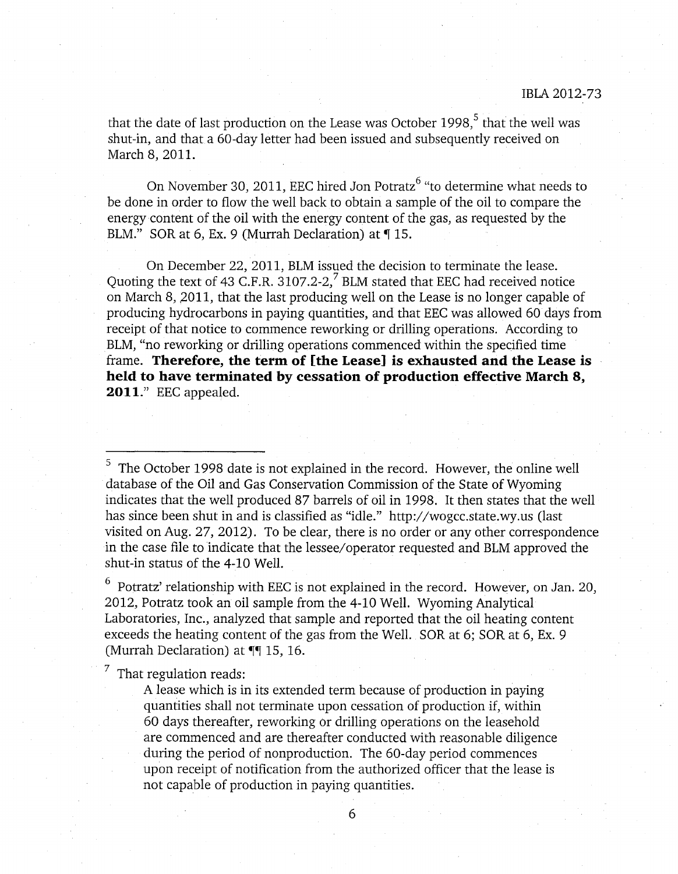that the date of last production on the Lease was October 1998,<sup>5</sup> that the well was shut-in, and that a 60-day letter had been issued and subsequently received on March 8, 2011.

On November 30, 2011, EEC hired Jon Potratz<sup>6</sup> "to determine what needs to be done in order to flow the well back to obtain a sample of the oil to compare the energy content of the oil with the energy content of the gas, as requested by the BLM." SOR at 6, Ex. 9 (Murrah Declaration) at [15.

On December 22, 2011, BLM issued the decision to terminate the lease. Quoting the text of 43 C.F.R. 3107.2-2,<sup>7</sup> BLM stated that EEC had received notice on March 8, 2011, that the last producing well on the Lease is no longer capable of producing hydrocarbons in paying quantities, and that EEC was allowed 60 days from receipt of that notice to commence reworking or drilling operations. According to BLM, "no reworking or drilling operations commenced within the specified time frame. **Therefore, the term of [the Lease] is exhausted and the Lease is held to have terminated by cessation of production effective March 8, 2011."** EEC appealed.

5 The October 1998 date is not explained in the record. However, the online well database of the Oil and Gas Conservation Commission of the State of Wyoming indicates that the well produced 87 barrels of oil in 1998. It then states that the well has since been shut in and is classified as "idle." http:/ /wogcc.state.wy.us (last visited on Aug. 27, 2012). To be clear, there is no order or any other correspondence in the case file to indicate that the lessee/ operator requested and BLM approved the shut-in status of the 4-10 Well.

<sup>6</sup>Potratz' relationship with EEC is not explained in the record. However, on Jan. 20, 2012, Potratz took an oil sample from the 4-10 Well. Wyoming Analytical Laboratories, Inc., analyzed that sample and reported that the oil heating content exceeds the heating content of the gas from the Well. SOR at 6; SOR at 6, Ex. 9 (Murrah Declaration) at  $\P$ [15, 16.

7 That regulation reads:

A lease which is in its extended term because of production in paying quantities shall not terminate upon cessation of production if, within 60 days thereafter, reworking or drilling operations on the leasehold are commenced and are thereafter conducted with reasonable diligence during the period of nonproduction. The 60-day period commences upon receipt of notification from the authorized officer that the lease is not capable of production in paying quantities.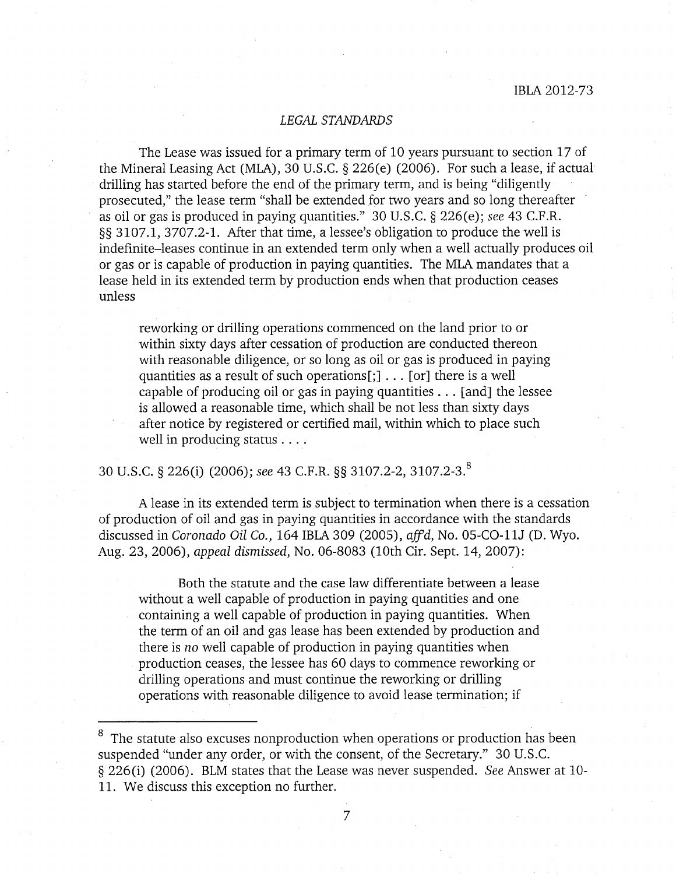#### *LEGAL STANDARDS*

The Lease was issued for a primary term of 10 years pursuant to section 17 of the Mineral Leasing Act (MLA), 30 U.S.C. § 226(e) (2006). For such a lease, if actual drilling has started before the end of the primary term, and is being "diligently prosecuted," the lease term "shall be extended for two years and so long thereafter as oil or gas is produced in paying quantities." 30 U.S.C. § 226(e); *see* 43 C.F.R. §§ 3107.1, 3707.2-1. After that time, a lessee's obligation to produce the well is indefinite-leases continue in an extended term only when a well actually produces oil or gas or is capable of production in paying quantities. The MLA mandates that a lease held in its extended term by production ends when that production ceases unless

reworking or drilling operations commenced on the land prior to or within sixty days after cessation of production are conducted thereon with reasonable diligence, or so long as oil or gas is produced in paying quantities as a result of such operations[;] ... [or] there is a well capable of producing oil or gas in paying quantities ... [and] the lessee is allowed a reasonable time, which shall be not less than sixty days after notice by registered or certified mail, within which to place such well in producing status ....

# 30 U.S.C. § 226(i) (2006); *see* 43 C.F.R. §§ 3107.2-2, 3107.2-3.<sup>8</sup>

A lease in its extended term is subject to termination when there is a cessation of production of oil and gas in paying quantities in accordance with the standards discussed in *Coronado Oil* Co., 164 IBLA 309 (2005), *aff'd,* No. 05-CO-llJ (D. Wyo. Aug. 23, 2006), *appeal dismissed,* No. 06-8083 (lOth Cir. Sept. 14, 2007):

Both the statute and the case law differentiate between a lease without a well capable of production in paying quantities and one containing a well capable of production in paying quantities. When the term of an oil and gas lease has been extended by production and there is *no* well capable of production in paying quantities when production ceases, the lessee has 60 days to commence reworking or drilling operations and must continue the reworking or drilling operations with reasonable diligence to avoid lease termination; if

 $8\,$  The statute also excuses nonproduction when operations or production has been suspended "under any order, or with the consent, of the Secretary." 30 U.S.C. § 226(i) (2006). BLM states that the Lease was never suspended. *See* Answer at lOll. We discuss this exception no further.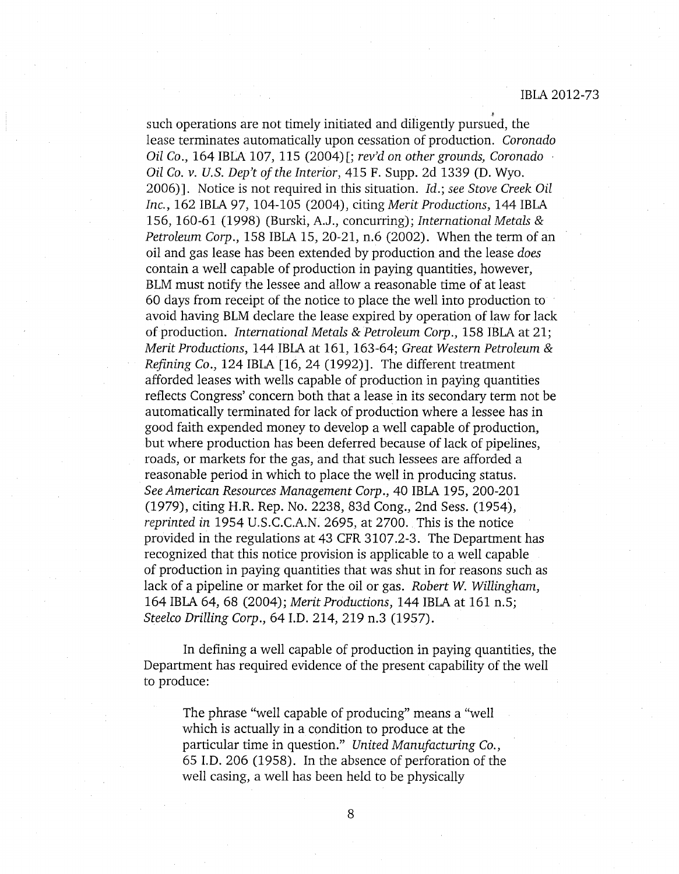such operations are not timely initiated and diligently pursued, the  $\overline{\phantom{a}}$ lease terminates automatically upon cessation of production. *Coronado Oil* Co., 164 IBLA 107, 115 (2004) [; *rev'd on other grounds) Coronado* · *Oil* Co. *v. U.S. Dep't of the Interior,* 415 F. Supp. 2d 1339 (D. Wyo. 2006)]. Notice is not required in this situation. *Id.*; see Stove Creek Oil *Inc.,* 162 IBLA 97, 104-105 (2004), citing *Merit Productions,* 144 IBLA 156, 160-61 (1998) (Burski, A.J., concurring); *International Metals* & *Petroleum Corp.,* 158 IBLA 15, 20-21, n.6 (2002). When the term of an oil and gas lease has been extended by production and the lease *does*  contain a well capable of production in paying quantities, however, BLM must notify the lessee and allow a reasonable time of at least 60 days from receipt of the notice to place the well into production to avoid having BLM declare the lease expired by operation of law for lack of production. *International Metals* & *Petroleum Corp.,* 158 IBLA at 21; *Merit Productions,* 144 IBLA at 161, 163-64; *Great Western Petroleum* & *Refining* Co., 124 IBLA [16, 24 (1992)]. The different treatment afforded leases with wells capable of production in paying quantities reflects Congress' concern both that a lease in its secondary term not be automatically terminated for lack of production where a lessee has in good faith expended money to develop a well capable of production, but where production has been deferred because of lack of pipelines, roads, or markets for the gas, and that such lessees are afforded a reasonable period in which to place the well in producing status. *See American Resources Management Corp.,* 40 IBLA 195, 200-201 (1979), citing H.R. Rep. No. 2238, 83d Cong., 2nd Sess. (1954), *reprinted in* 1954 U.S.C.C.A.N. 2695, at 2700. This is the notice provided in the regulations at 43 CFR 3107.2-3. The Department has recognized that this notice provision is applicable to a well capable of production in paying quantities that was shut in for reasons such as lack of a pipeline or market for the oil or gas. *Robert W. Willingham,*  164 IBLA 64, 68 (2004); *Merit Productions,* 144 IBLA at 161 n.5; *Steelco Drilling Corp.,* 64 I.D. 214, 219 n.3 (1957).

In defining a well capable of production in paying quantities, the Department has required evidence of the present capability of the well to produce:

The phrase "well capable of producing" means a "well which is actually in a condition to produce at the particular time in question." *United Manufacturing* Co., 65 I. D. 206 (1958). In the absence of perforation of the well casing, a well has been held to be physically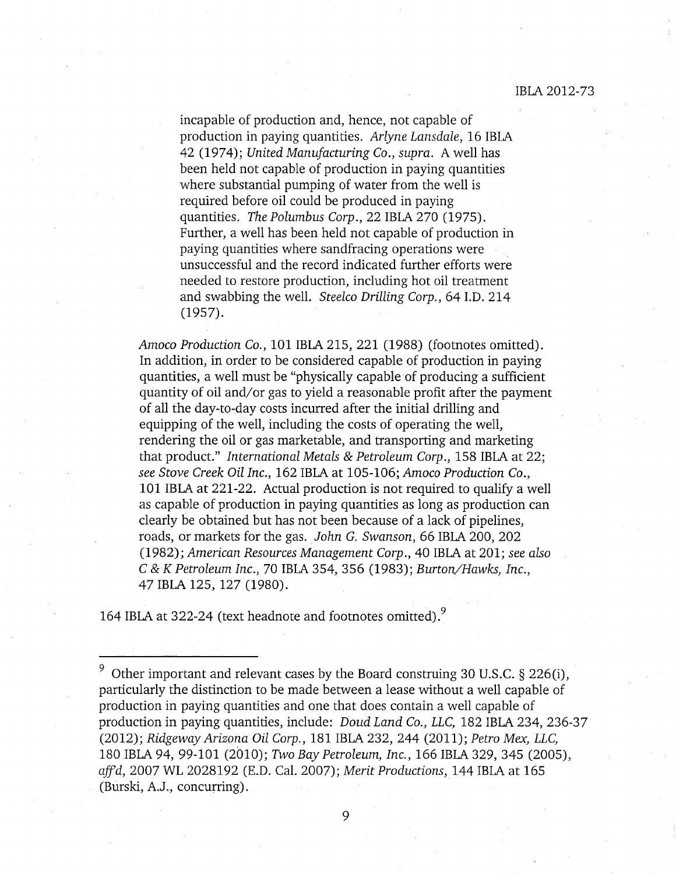incapable of production and, hence, not capable of production in paying quantities. *Arlyne Lansdale,* 16 IBLA 42 (1974); *United Manufacturing* Co., *supra.* A well has been held not capable of production in paying quantities where substantial pumping of water from the well is required before oil could be produced in paying quantities. *The Polumbus Corp.,* 22 IBLA 270 (1975). Further, a well has been held not capable of production in paying quantities where sandfracing operations were unsuccessful and the record indicated further efforts were needed to restore production, including hot oil treatment and swabbing the well. *Steelco Drilling Corp.,* 64 I.D. 214 (1957).

*Amoco Production* Co., 101 IBLA 215, 221 (1988) (footnotes omitted). In addition, in order to be considered capable of production in paying quantities, a well must be "physically capable of producing a sufficient quantity of oil and/or gas to yield a reasonable profit after the payment of all the day-to-day costs incurred after the initial drilling and equipping of the well, including the costs of operating the well, rendering the oil or gas marketable, and transporting and marketing that product." *International Metals* & *Petroleum Corp.,* 158 IBLA at 22; *see Stove Creek Oil Inc.,* 162 IBLA at 105-106; *Amoco Production* Co., 101 IBLA at 221-22. Actual production is not required to qualify a well as capable of production in paying quantities as long as production can clearly be obtained but has not been because of a lack of pipelines, roads, or markets for the gas .. *John* G. *Swanson,* 66 IBLA 200, 202 (1982); *American Resources Management Corp.,* 40 IBLA at 201; *see also C &K Petroleum Inc.,* 70 IBLA 354, 356 (1983); *Burton/Hawks, Inc.,*  47 IBLA 125, 127 (1980).

164 IBLA at 322-24 (text headnote and footnotes omitted).<sup>9</sup>

<sup>9</sup> Other important and relevant cases by the Board construing 30 U.S.C. § 226(i), particularly the distinction to be made between a lease without a well capable of production in paying quantities and one that does contain a well capable of production in paying quantities, include: *Doud Land* Co., *LLC,* 182 IBLA 234, 236-37 (2012); *Ridgeway Arizona Oil Corp.,* 181 IBLA 232, 244 (2011); *Petro Mex, LLC,*  180 IBLA 94, 99-101 (2010); *Two Bay Petroleum, Inc.,* 166 IBLA 329, 345 (2005), *a.ffd,* 2007 WL 2028192 (E.D. Cal. 2007); *Merit Productions,* 144 IBLA at 165 (Burski, A.J., concurring).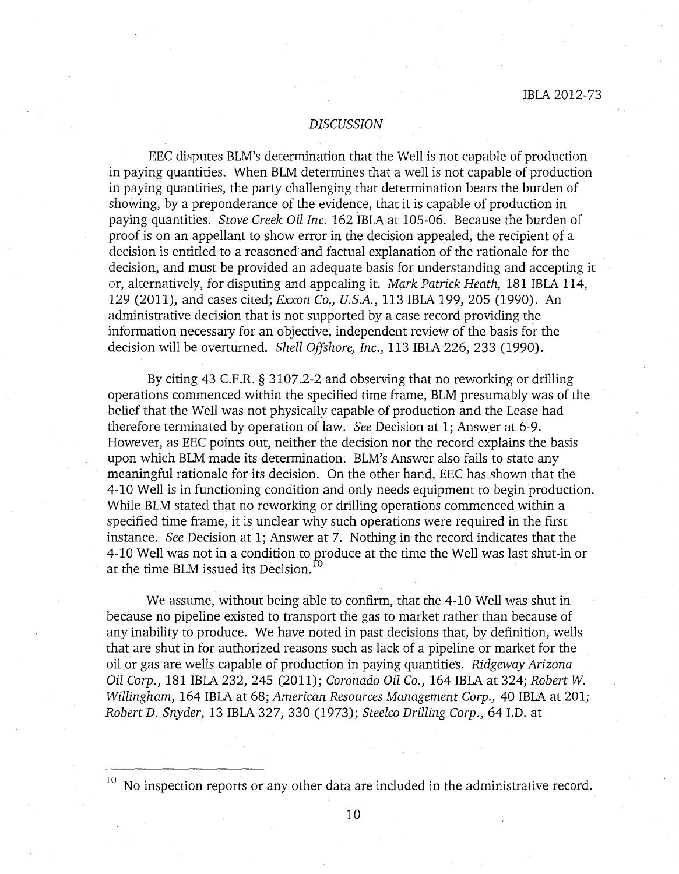#### *DISCUSSION*

EEC disputes BLM's determination that the Well is not capable of production in paying quantities. When BLM determines that a well is not capable of production in paying quantities, the party challenging that determination bears the burden of showing, by a preponderance of the evidence, that it is capable of production in paying quantities. *Stove Creek Oil Inc.* 162 IBLA at 105-06. Because the burden of proof is on an appellant to show error in the decision appealed, the recipient of a decision is entitled to a reasoned and factual explanation of the rationale for the decision, and must be provided an adequate basis for understanding and accepting it or, alternatively, for disputing and appealing it. *Mark Patrick Heath,* 181 IBLA 114, 129 (2011), and cases cited; *Exxon* Co., *U.S.A.,* 113 IBLA 199, 205 (1990). An administrative decision that is not supported by a case record providing the information necessary for an objective, independent review of the basis for the decision will be overturned. *Shell Offshore, Inc.,* 113 IBLA 226, 233 (1990).

By citing 43 C.P.R.§ 3107.2-2 and observing that no reworking or drilling operations commenced within the specified time frame, BLM presumably was of the belief that the Well was not physically capable of production and the Lease had therefore terminated by operation of law. *See* Decision at 1; Answer at 6-9. However, as EEC points out, neither the decision nor the record explains the basis upon which BLM made its determination. BLM's Answer also fails to state any meaningful rationale for its decision. On the other hand, EEC has shown that the 4-10 Well is in functioning condition and only needs equipment to begin production. While BLM stated that no reworking or drilling operations commenced within a specified time frame, it is unclear why such operations were required in the first instance. *See* Decision at 1; Answer at 7. Nothing in the record indicates that the 4-10 Well was not in a condition to produce at the time the Well was last shut-in or at the time BLM issued its Decision.<sup>16</sup>

We assume, without being able to confirm, that the 4-10 Well was shut in because no pipeline existed to transport the gas to market rather than because of any inability to produce. We have noted in past decisions that, by definition, wells that are shut in for authorized reasons such as lack of a pipeline or market for the oil or gas are wells capable of production in paying quantities. *Ridgeway Arizona Oil Corp.,* 181 IBLA 232, 245 (2011); *Coronado Oil* Co., 164 IBLA at 324; *Robert W. Willingham,* 164 IBLA at 68; *American Resources Management Corp.,* 40 IBLA at 201; *Robert D. Snyder,* 13 IBLA 327, 330 (1973); *Steelco Drilling Corp.,* 64 I.D. at

 $10$  No inspection reports or any other data are included in the administrative record.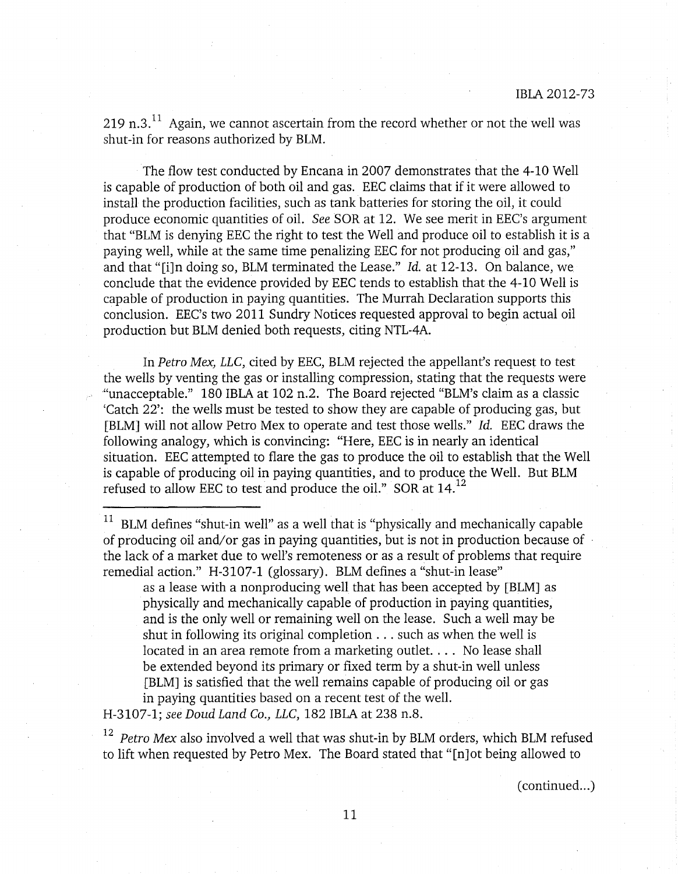219 n.3.<sup>11</sup> Again, we cannot ascertain from the record whether or not the well was shut-in for reasons authorized by BLM.

The flow test conducted by Encana in 2007 demonstrates that the 4-10 Well is capable of production of both oil and gas. EEC claims that if it were allowed to install the production facilities, such as tank batteries for storing the oil, it could produce economic quantities of oil. *See* SOR at 12. We see merit in EEC's argument that "BLM is denying EEC the right to test the Well and produce oil to establish it is a paying well, while at the same time penalizing EEC for not producing oil and gas," and that "[i]n doing so, BLM terminated the Lease." *Id.* at 12-13. On balance, we conclude that the evidence provided by EEC tends to establish that the 4-10 Well is capable of production in paying quantities. The Murrah Declaration supports this conclusion. EEC's two 2011 Sundry Notices requested approval to begin actual oil production but BLM denied both requests, citing NTL-4A.

In *Petro Mex, LLC,* cited by EEC, BLM rejected the appellant's request to test the wells by venting the gas or installing compression, stating that the requests were "unacceptable." 180 IBlA at 102 n.2. The Board rejected "BLM's claim as a classic 'Catch 22': the wells must be tested to show they are capable of producing gas, but [BLM] will not allow Petro Mex to operate and test those wells." *Id.* EEC draws the following analogy, which is convincing: "Here, EEC is in nearly an identical situation. EEC attempted to flare the gas to produce the oil to establish that the Well is capable of producing oil in paying quantities, and to produce the Well. But BLM refused to allow EEC to test and produce the oil." SOR at  $14<sup>12</sup>$ 

 $11$  BLM defines "shut-in well" as a well that is "physically and mechanically capable of producing oil and/or gas in paying quantities, but is not in production because of · the lack of a market due to well's remoteness or as a result of problems that require remedial action." H-3107-1 (glossary). BLM defines a "shut-in lease"

as a lease with a nonproducing well that has been accepted by [BLM] as physically and mechanically capable of production in paying quantities, and is the only well or remaining well on the lease. Such a well may be shut in following its original completion ... such as when the well is located in an area remote from a marketing outlet. . . . No lease shall be extended beyond its primary or fixed term by a shut-in well unless [BLM] is satisfied that the well remains capable of producing oil or gas in paying quantities based on a recent test of the well.

H-3107-1; *see Doud Land* Co., *LLC,* 182 IBlA at 238 n.8.

<sup>12</sup>*Petro Mex* also involved a well that was shut-in by BLM orders, which BLM refused to lift when requested by Petro Mex. The Board stated that "[n]ot being allowed to

 $(continued...)$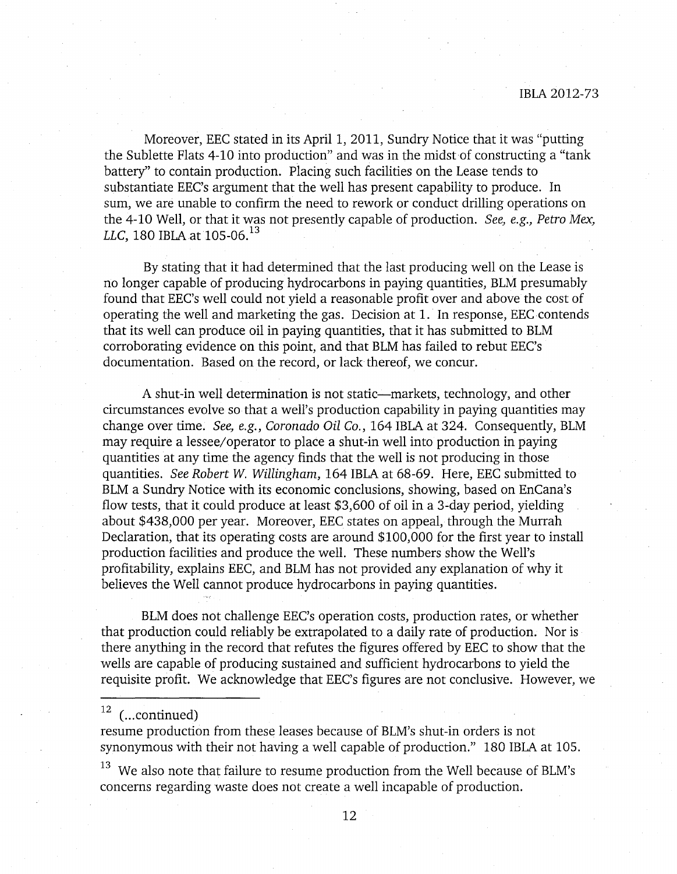Moreover, EEC stated in its April 1, 2011, Sundry Notice that it was "putting the Sublette Flats 4-10 into production" and was in the midst of constructing a "tank battery" to contain production. Placing such facilities on the Lease tends to substantiate EEC's argument that the well has present capability to produce. In sum, we are unable to confirm the need to rework or conduct drilling operations on the 4-10 Well, or that it was not presently capable of production. *See, e.g., Petro Mex,*  LLC, 180 IBLA at 105-06.<sup>13</sup>

By stating that it had determined that the last producing well on the Lease is no longer capable of producing hydrocarbons in paying quantities, BLM presumably found that EEC's well could not yield a reasonable profit over and above the cost of operating the well and marketing the gas. Decision at 1. In response, EEC contends that its well can produce oil in paying quantities, that it has submitted to BLM corroborating evidence on this point, and that BLM has failed to rebut EEC's documentation. Based on the record, or lack thereof, we concur.

A shut-in well determination is not static—markets, technology, and other circumstances evolve so that a well's production capability in paying quantities may change over time. *See, e.g., Coronado Oil Co.,* 164 IBLA at 324. Consequently, BLM may require a lessee/operator to place a shut-in well into production in paying quantities at any time the agency finds that the well is not producing in those quantities. *See Robert W. Willingham,* 164 IBLA at 68-69. Here, EEC submitted to BLM a Sundry Notice with its economic conclusions, showing, based on EnCana's flow tests, that it could produce at least \$3,600 of oil in a 3-day period, yielding about \$438,000 per year. Moreover, EEC states on appeal, through the Murrah Declaration, that its operating costs are around \$100,000 for the first year to install production facilities and produce the well. These numbers show the Well's profitability, explains EEC, and BLM has not provided any explanation of why it believes the Well cannot produce hydrocarbons in paying quantities.

BLM does not challenge EEC's operation costs, production rates, or whether that production could reliably be extrapolated to a daily rate of production. Nor is there anything in the record that refutes the figures offered by EEC to show that the wells are capable of producing sustained and sufficient hydrocarbons to yield the requisite profit. We acknowledge that EEC's figures are not conclusive. However, we

12 ( ... continued)

resume production from these leases because of BLM's shut-in orders is not synonymous with their not having a well capable of production." 180 IBLA at 105.

 $13$  We also note that failure to resume production from the Well because of BLM's concerns regarding waste does not create a well incapable of production.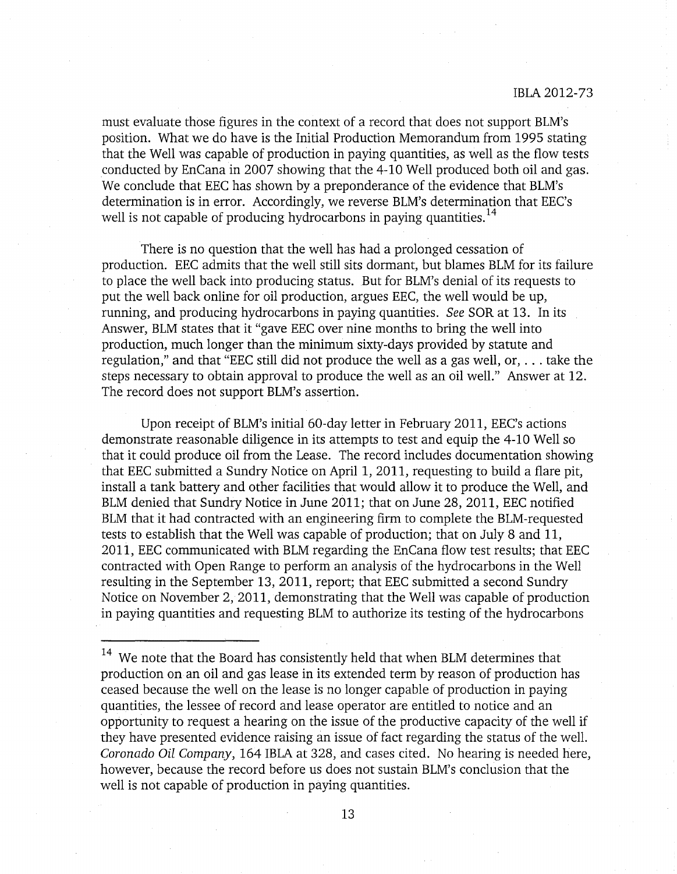must evaluate those figures in the context of a record that does not support BLM's position. What we do have is the Initial Production Memorandum from 1995 stating that the Well was capable of production in paying quantities, as well as the flow tests conducted by EnCana in 2007 showing that the 4-10 Well produced both oil and gas. We conclude that EEC has shown by a preponderance of the evidence that BLM's determination is in error. Accordingly, we reverse BLM's determination that EEC's well is not capable of producing hydrocarbons in paying quantities.<sup>14</sup>

There is no question that the well has had a prolonged cessation of production. EEC admits that the well still sits dormant, but blames BLM for its failure to place the well back into producing status. But for BLM's denial of its requests to put the well back online for oil production, argues EEC, the well would be up, running, and producing hydrocarbons in paying quantities. See SOR at 13. In its Answer, BLM states that it "gave EEC over nine months to bring the well into production, much longer than the minimum sixty-days provided by statute and regulation," and that "EEC still did not produce the well as a gas well, or, ... take the steps necessary to obtain approval to produce the well as an oil well." Answer at 12. The record does not support BLM's assertion.

Upon receipt of BLM's initial 60-day letter in February 2011, EEC's actions demonstrate reasonable diligence in its attempts to test and equip the 4-10 Well so that it could produce oil from the Lease. The record includes documentation showing that EEC submitted a Sundry Notice on April 1, 2011, requesting to build a flare pit, install a tank battery and other facilities that would allow it to produce the Well, and BLM denied that Sundry Notice in June 2011; that on June 28, 2011, EEC notified BLM that it had contracted with an engineering firm to complete the ELM-requested tests to establish that the Well was capable of production; that on July 8 and 11, 2011, EEC communicated with BLM regarding the EnCana flow test results; that EEC contracted with Open Range to perform an analysis of the hydrocarbons in the Well resulting in the September 13, 2011, report; that EEC submitted a second Sundry Notice on November 2, 2011, demonstrating that the Well was capable of production in paying quantities and requesting BLM to authorize its testing of the hydrocarbons

 $14$  We note that the Board has consistently held that when BLM determines that production on an oil and gas lease in its extended term by reason of production has ceased because the well on the lease is no longer capable of production in paying quantities, the lessee of record and lease operator are entitled to notice and an opportunity to request a hearing on the issue of the productive capacity of the well if they have presented evidence raising an issue of fact regarding the status of the well. Coronado Oil Company, 164 IBLA at 328, and cases cited. No hearing is needed here, however, because the record before us does not sustain BLM's conclusion that the well is not capable of production in paying quantities.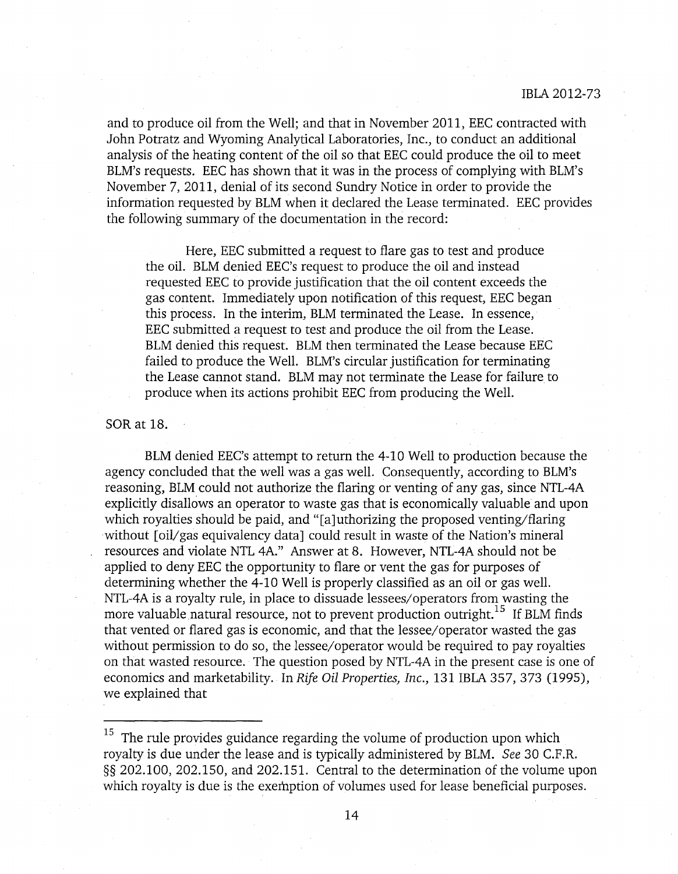and to produce oil from the Well; and that in November 2011, EEC contracted with John Potratz and Wyoming Analytical Laboratories, Inc., to conduct an additional analysis of the heating content of the oil so that EEC could produce the oil to meet BLM's requests. EEC has shown that it was in the process of complying with BLM's November 7, 2011, denial of its second Sundry Notice in order to provide the information requested by BLM when it declared the Lease terminated. EEC provides the following summary of the documentation in the record:

Here, EEC submitted a request to flare gas to test and produce the oil. BLM denied EEC's request to produce the oil and instead requested EEC to provide justification that the oil content exceeds the gas content. Immediately upon notification of this request, EEC began this process. In the interim, BLM terminated the Lease. In essence, EEC submitted a request to test and produce the oil from the Lease. BLM denied this request. BLM then terminated the Lease because EEC failed to produce the Well. BLM's circular justification for terminating the Lease cannot stand. BLM may not terminate the Lease for failure to produce when its actions prohibit EEC from producing the Well.

# SOR at 18.

BLM denied EEC's attempt to return the 4-10 Well to production because the agency concluded that the well was a gas well. Consequently, according to BLM's reasoning, BLM could not authorize the flaring or venting of any gas, since NTL-4A explicitly disallows an operator to waste gas that is economically valuable and upon which royalties should be paid, and "[a]uthorizing the proposed venting/flaring without [oil/gas equivalency data] could result in waste of the Nation's mineral resources and violate NTL 4A." Answer at 8. However, NTL-4A should not be applied to deny EEC the opportunity to flare or vent the gas for purposes of determining whether the 4-10 Well is properly classified as an oil or gas well. NTL-4A is a royalty rule, in place to dissuade lessees/operators from wasting the more valuable natural resource, not to prevent production outright.<sup>15</sup> If BLM finds that vented or flared gas is economic, and that the lessee/operator wasted the gas without permission to do so, the lessee/operator would be required to pay royalties on that wasted resource. The question posed by NTL-4A in the present case is one of economics and marketability. In *Rife Oil Properties, Inc.,* 131 IBLA 357, 373 (1995), we explained that

 $15$  The rule provides guidance regarding the volume of production upon which royalty is due under the lease and is typically administered by BLM. *See* 30 C.F.R. §§ 202.100, 202.150, and 202.151. Central to the determination of the volume upon which royalty is due is the exemption of volumes used for lease beneficial purposes.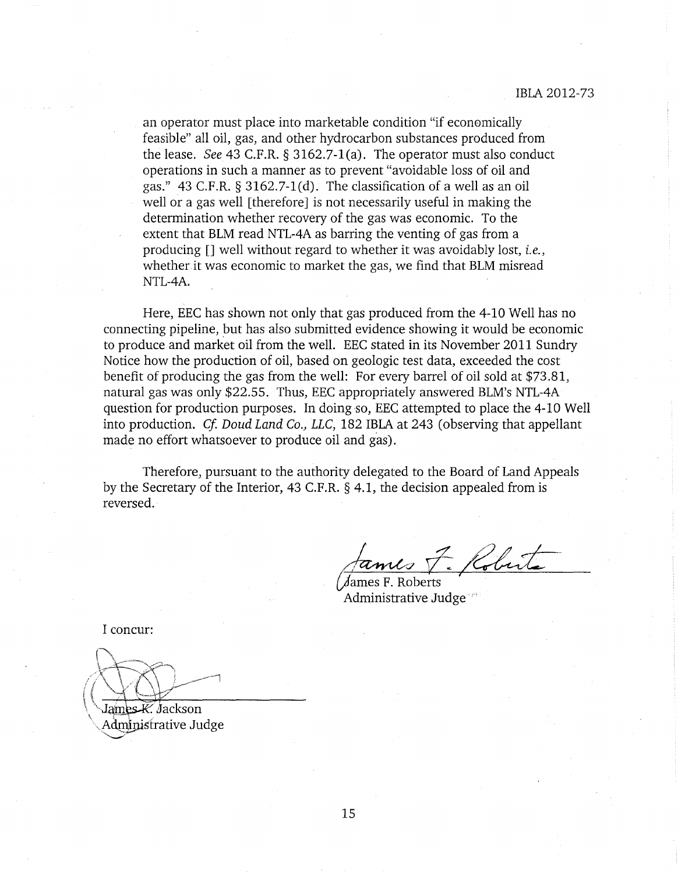an operator must place into marketable condition "if economically feasible" all oil, gas, and other hydrocarbon substances produced from the lease. *See* 43 C.P.R.§ 3162.7-1(a). The operator must also conduct operations in such a manner as to prevent "avoidable loss of oil and gas." 43 C.P.R. § 3162.7-1(d). The classification of a well as an oil well or a gas well [therefore] is not necessarily useful in making the determination whether recovery of the gas was economic. To the extent that BLM read NTL-4A as barring the venting of gas from a producing [] well without regard to whether it was avoidably lost, *i.e.,*  whether it was economic to market the gas, we find that BLM misread NTL-4A.

Here, EEC has shown not only that gas produced from the 4-10 Well has no connecting pipeline, but has also submitted evidence showing it would be economic to produce and market oil from the well. EEC stated in its November 2011 Sundry Notice how the production of oil, based on geologic test data, exceeded the cost benefit of producing the gas from the well: For every barrel of oil sold at \$73.81, natural gas was only \$22.55. Thus, EEC appropriately answered BLM's NTL-4A question for production purposes. In doing so, EEC attempted to place the 4-10 Well into production. *Cf Doud Land* Co., *LLC,* 182 IBLA at 243 (observing that appellant made no effort whatsoever to produce oil and gas).

Therefore, pursuant to the authority delegated to the Board of Land Appeals by the Secretary of the Interior, 43 C.P.R. § 4.1, the decision appealed from is reversed.

 $M$ ames F. Roberts Administrative Judge $\mathbb{R}^n$ 

I concur:

James K. Jackson Administrative Judge